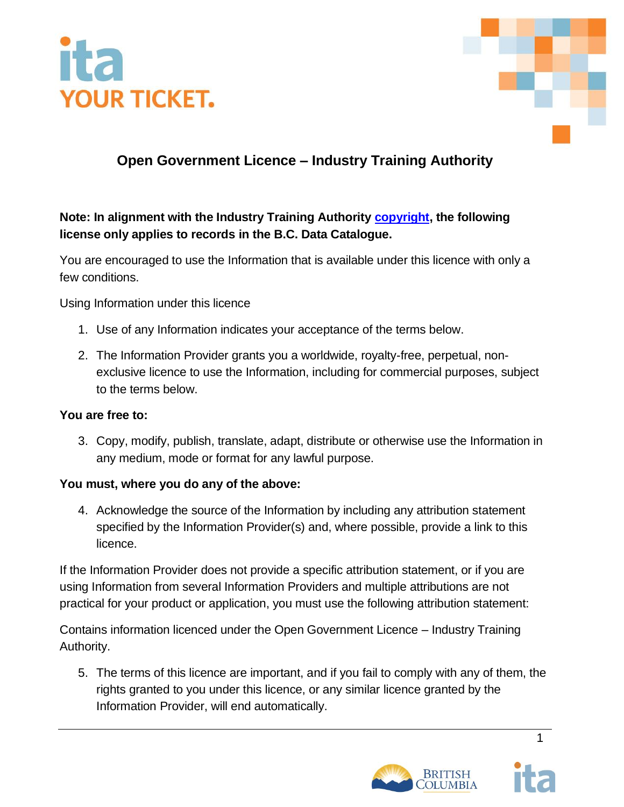



## **Open Government Licence – Industry Training Authority**

## **Note: In alignment with the Industry Training Authority [copyright,](https://www2.gov.bc.ca/gov/content/home/copyright) the following license only applies to records in the [B.C. Data Catalogue.](https://catalogue.data.gov.bc.ca/dataset?license_id=2)**

You are encouraged to use the Information that is available under this licence with only a few conditions.

Using Information under this licence

- 1. Use of any Information indicates your acceptance of the terms below.
- 2. The Information Provider grants you a worldwide, royalty-free, perpetual, nonexclusive licence to use the Information, including for commercial purposes, subject to the terms below.

#### **You are free to:**

3. Copy, modify, publish, translate, adapt, distribute or otherwise use the Information in any medium, mode or format for any lawful purpose.

## **You must, where you do any of the above:**

4. Acknowledge the source of the Information by including any attribution statement specified by the Information Provider(s) and, where possible, provide a link to this licence.

If the Information Provider does not provide a specific attribution statement, or if you are using Information from several Information Providers and multiple attributions are not practical for your product or application, you must use the following attribution statement:

Contains information licenced under the Open Government Licence – Industry Training Authority.

5. The terms of this licence are important, and if you fail to comply with any of them, the rights granted to you under this licence, or any similar licence granted by the Information Provider, will end automatically.



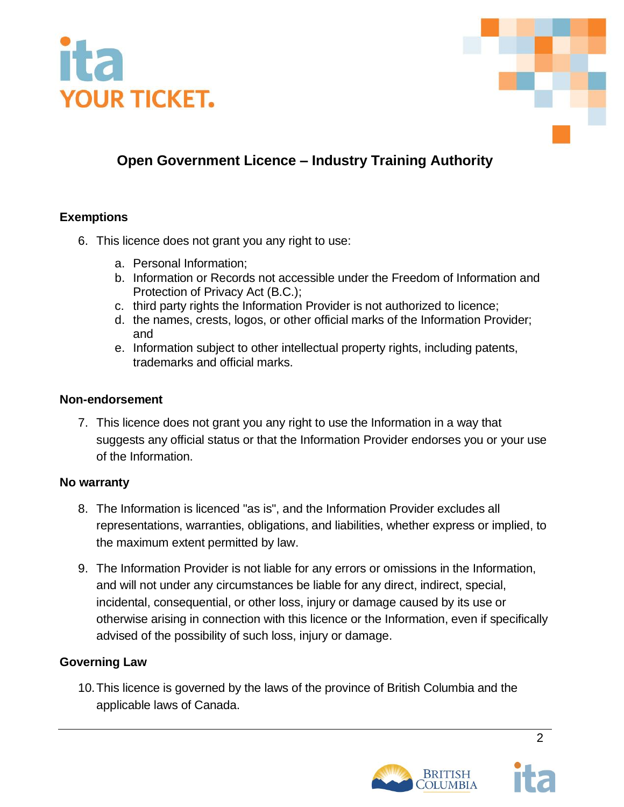



## **Open Government Licence – Industry Training Authority**

### **Exemptions**

- 6. This licence does not grant you any right to use:
	- a. Personal Information;
	- b. Information or Records not accessible under the Freedom of Information and Protection of Privacy Act (B.C.);
	- c. third party rights the Information Provider is not authorized to licence;
	- d. the names, crests, logos, or other official marks of the Information Provider; and
	- e. Information subject to other intellectual property rights, including patents, trademarks and official marks.

#### **Non-endorsement**

7. This licence does not grant you any right to use the Information in a way that suggests any official status or that the Information Provider endorses you or your use of the Information.

#### **No warranty**

- 8. The Information is licenced "as is", and the Information Provider excludes all representations, warranties, obligations, and liabilities, whether express or implied, to the maximum extent permitted by law.
- 9. The Information Provider is not liable for any errors or omissions in the Information, and will not under any circumstances be liable for any direct, indirect, special, incidental, consequential, or other loss, injury or damage caused by its use or otherwise arising in connection with this licence or the Information, even if specifically advised of the possibility of such loss, injury or damage.

## **Governing Law**

10.This licence is governed by the laws of the province of British Columbia and the applicable laws of Canada.